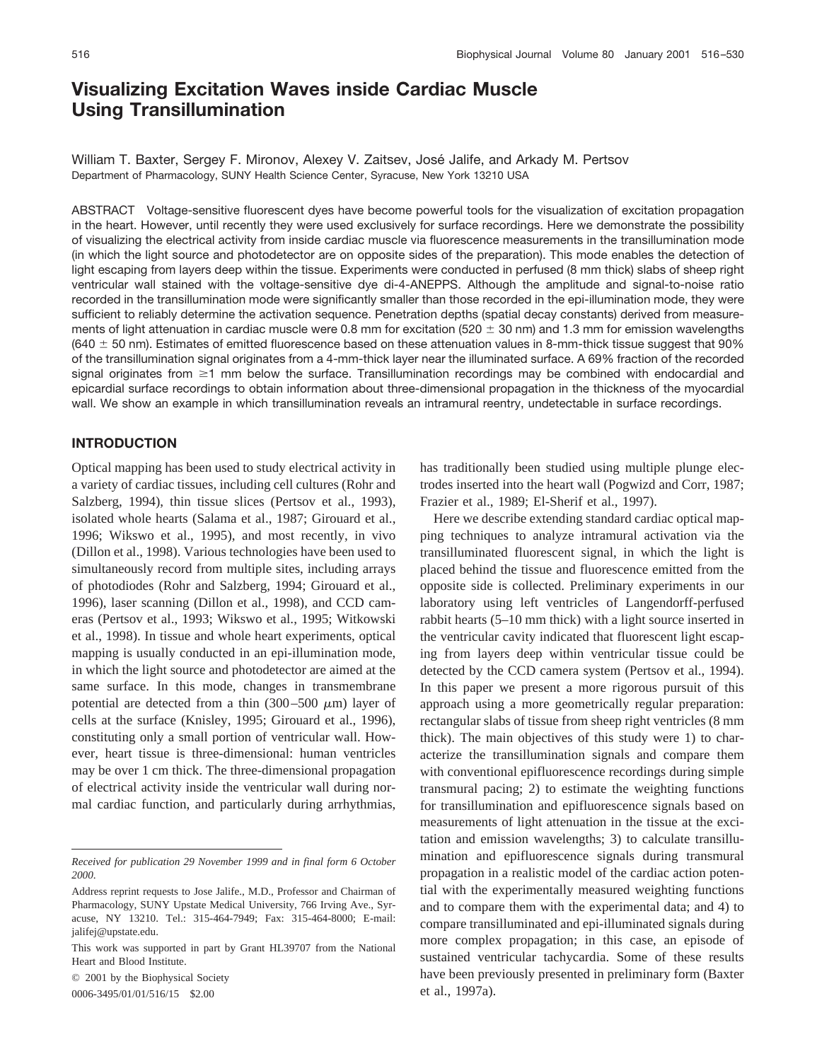# **Visualizing Excitation Waves inside Cardiac Muscle Using Transillumination**

William T. Baxter, Sergey F. Mironov, Alexey V. Zaitsev, José Jalife, and Arkady M. Pertsov Department of Pharmacology, SUNY Health Science Center, Syracuse, New York 13210 USA

ABSTRACT Voltage-sensitive fluorescent dyes have become powerful tools for the visualization of excitation propagation in the heart. However, until recently they were used exclusively for surface recordings. Here we demonstrate the possibility of visualizing the electrical activity from inside cardiac muscle via fluorescence measurements in the transillumination mode (in which the light source and photodetector are on opposite sides of the preparation). This mode enables the detection of light escaping from layers deep within the tissue. Experiments were conducted in perfused (8 mm thick) slabs of sheep right ventricular wall stained with the voltage-sensitive dye di-4-ANEPPS. Although the amplitude and signal-to-noise ratio recorded in the transillumination mode were significantly smaller than those recorded in the epi-illumination mode, they were sufficient to reliably determine the activation sequence. Penetration depths (spatial decay constants) derived from measurements of light attenuation in cardiac muscle were 0.8 mm for excitation (520  $\pm$  30 nm) and 1.3 mm for emission wavelengths (640  $\pm$  50 nm). Estimates of emitted fluorescence based on these attenuation values in 8-mm-thick tissue suggest that 90% of the transillumination signal originates from a 4-mm-thick layer near the illuminated surface. A 69% fraction of the recorded signal originates from  $\geq 1$  mm below the surface. Transillumination recordings may be combined with endocardial and epicardial surface recordings to obtain information about three-dimensional propagation in the thickness of the myocardial wall. We show an example in which transillumination reveals an intramural reentry, undetectable in surface recordings.

# **INTRODUCTION**

Optical mapping has been used to study electrical activity in a variety of cardiac tissues, including cell cultures (Rohr and Salzberg, 1994), thin tissue slices (Pertsov et al., 1993), isolated whole hearts (Salama et al., 1987; Girouard et al., 1996; Wikswo et al., 1995), and most recently, in vivo (Dillon et al., 1998). Various technologies have been used to simultaneously record from multiple sites, including arrays of photodiodes (Rohr and Salzberg, 1994; Girouard et al., 1996), laser scanning (Dillon et al., 1998), and CCD cameras (Pertsov et al., 1993; Wikswo et al., 1995; Witkowski et al., 1998). In tissue and whole heart experiments, optical mapping is usually conducted in an epi-illumination mode, in which the light source and photodetector are aimed at the same surface. In this mode, changes in transmembrane potential are detected from a thin  $(300-500 \mu m)$  layer of cells at the surface (Knisley, 1995; Girouard et al., 1996), constituting only a small portion of ventricular wall. However, heart tissue is three-dimensional: human ventricles may be over 1 cm thick. The three-dimensional propagation of electrical activity inside the ventricular wall during normal cardiac function, and particularly during arrhythmias,

© 2001 by the Biophysical Society 0006-3495/01/01/516/15 \$2.00

has traditionally been studied using multiple plunge electrodes inserted into the heart wall (Pogwizd and Corr, 1987; Frazier et al., 1989; El-Sherif et al., 1997).

Here we describe extending standard cardiac optical mapping techniques to analyze intramural activation via the transilluminated fluorescent signal, in which the light is placed behind the tissue and fluorescence emitted from the opposite side is collected. Preliminary experiments in our laboratory using left ventricles of Langendorff-perfused rabbit hearts (5–10 mm thick) with a light source inserted in the ventricular cavity indicated that fluorescent light escaping from layers deep within ventricular tissue could be detected by the CCD camera system (Pertsov et al., 1994). In this paper we present a more rigorous pursuit of this approach using a more geometrically regular preparation: rectangular slabs of tissue from sheep right ventricles (8 mm thick). The main objectives of this study were 1) to characterize the transillumination signals and compare them with conventional epifluorescence recordings during simple transmural pacing; 2) to estimate the weighting functions for transillumination and epifluorescence signals based on measurements of light attenuation in the tissue at the excitation and emission wavelengths; 3) to calculate transillumination and epifluorescence signals during transmural propagation in a realistic model of the cardiac action potential with the experimentally measured weighting functions and to compare them with the experimental data; and 4) to compare transilluminated and epi-illuminated signals during more complex propagation; in this case, an episode of sustained ventricular tachycardia. Some of these results have been previously presented in preliminary form (Baxter et al., 1997a).

*Received for publication 29 November 1999 and in final form 6 October 2000*.

Address reprint requests to Jose Jalife., M.D., Professor and Chairman of Pharmacology, SUNY Upstate Medical University, 766 Irving Ave., Syracuse, NY 13210. Tel.: 315-464-7949; Fax: 315-464-8000; E-mail: jalifej@upstate.edu.

This work was supported in part by Grant HL39707 from the National Heart and Blood Institute.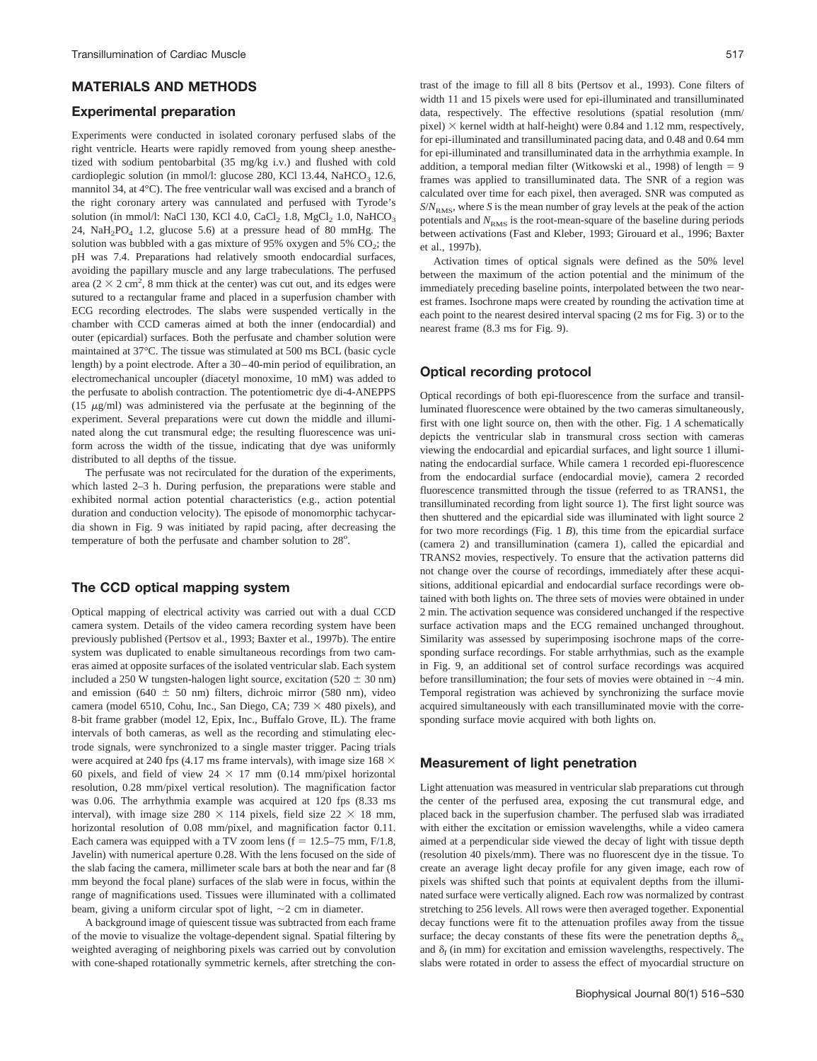## **MATERIALS AND METHODS**

#### **Experimental preparation**

Experiments were conducted in isolated coronary perfused slabs of the right ventricle. Hearts were rapidly removed from young sheep anesthetized with sodium pentobarbital (35 mg/kg i.v.) and flushed with cold cardioplegic solution (in mmol/l: glucose 280, KCl 13.44, NaHCO<sub>3</sub> 12.6, mannitol 34, at 4°C). The free ventricular wall was excised and a branch of the right coronary artery was cannulated and perfused with Tyrode's solution (in mmol/l: NaCl 130, KCl 4.0, CaCl<sub>2</sub> 1.8, MgCl<sub>2</sub> 1.0, NaHCO<sub>3</sub> 24,  $NaH<sub>2</sub>PO<sub>4</sub>$  1.2, glucose 5.6) at a pressure head of 80 mmHg. The solution was bubbled with a gas mixture of 95% oxygen and 5%  $CO<sub>2</sub>$ ; the pH was 7.4. Preparations had relatively smooth endocardial surfaces, avoiding the papillary muscle and any large trabeculations. The perfused area ( $2 \times 2$  cm<sup>2</sup>, 8 mm thick at the center) was cut out, and its edges were sutured to a rectangular frame and placed in a superfusion chamber with ECG recording electrodes. The slabs were suspended vertically in the chamber with CCD cameras aimed at both the inner (endocardial) and outer (epicardial) surfaces. Both the perfusate and chamber solution were maintained at 37°C. The tissue was stimulated at 500 ms BCL (basic cycle length) by a point electrode. After a 30–40-min period of equilibration, an electromechanical uncoupler (diacetyl monoxime, 10 mM) was added to the perfusate to abolish contraction. The potentiometric dye di-4-ANEPPS (15  $\mu$ g/ml) was administered via the perfusate at the beginning of the experiment. Several preparations were cut down the middle and illuminated along the cut transmural edge; the resulting fluorescence was uniform across the width of the tissue, indicating that dye was uniformly distributed to all depths of the tissue.

The perfusate was not recirculated for the duration of the experiments, which lasted 2–3 h. During perfusion, the preparations were stable and exhibited normal action potential characteristics (e.g., action potential duration and conduction velocity). The episode of monomorphic tachycardia shown in Fig. 9 was initiated by rapid pacing, after decreasing the temperature of both the perfusate and chamber solution to 28°.

## **The CCD optical mapping system**

Optical mapping of electrical activity was carried out with a dual CCD camera system. Details of the video camera recording system have been previously published (Pertsov et al., 1993; Baxter et al., 1997b). The entire system was duplicated to enable simultaneous recordings from two cameras aimed at opposite surfaces of the isolated ventricular slab. Each system included a 250 W tungsten-halogen light source, excitation (520  $\pm$  30 nm) and emission (640  $\pm$  50 nm) filters, dichroic mirror (580 nm), video camera (model 6510, Cohu, Inc., San Diego, CA;  $739 \times 480$  pixels), and 8-bit frame grabber (model 12, Epix, Inc., Buffalo Grove, IL). The frame intervals of both cameras, as well as the recording and stimulating electrode signals, were synchronized to a single master trigger. Pacing trials were acquired at 240 fps (4.17 ms frame intervals), with image size 168  $\times$ 60 pixels, and field of view  $24 \times 17$  mm (0.14 mm/pixel horizontal resolution, 0.28 mm/pixel vertical resolution). The magnification factor was 0.06. The arrhythmia example was acquired at 120 fps (8.33 ms interval), with image size  $280 \times 114$  pixels, field size  $22 \times 18$  mm, horizontal resolution of 0.08 mm/pixel, and magnification factor 0.11. Each camera was equipped with a TV zoom lens  $(f = 12.5-75$  mm,  $F/1.8$ , Javelin) with numerical aperture 0.28. With the lens focused on the side of the slab facing the camera, millimeter scale bars at both the near and far (8 mm beyond the focal plane) surfaces of the slab were in focus, within the range of magnifications used. Tissues were illuminated with a collimated beam, giving a uniform circular spot of light,  $\sim$ 2 cm in diameter.

A background image of quiescent tissue was subtracted from each frame of the movie to visualize the voltage-dependent signal. Spatial filtering by weighted averaging of neighboring pixels was carried out by convolution with cone-shaped rotationally symmetric kernels, after stretching the con-

trast of the image to fill all 8 bits (Pertsov et al., 1993). Cone filters of width 11 and 15 pixels were used for epi-illuminated and transilluminated data, respectively. The effective resolutions (spatial resolution (mm/ pixel)  $\times$  kernel width at half-height) were 0.84 and 1.12 mm, respectively, for epi-illuminated and transilluminated pacing data, and 0.48 and 0.64 mm for epi-illuminated and transilluminated data in the arrhythmia example. In addition, a temporal median filter (Witkowski et al., 1998) of length  $= 9$ frames was applied to transilluminated data. The SNR of a region was calculated over time for each pixel, then averaged. SNR was computed as  $S/N_{RMS}$ , where *S* is the mean number of gray levels at the peak of the action potentials and  $N_{RMS}$  is the root-mean-square of the baseline during periods between activations (Fast and Kleber, 1993; Girouard et al., 1996; Baxter et al., 1997b).

Activation times of optical signals were defined as the 50% level between the maximum of the action potential and the minimum of the immediately preceding baseline points, interpolated between the two nearest frames. Isochrone maps were created by rounding the activation time at each point to the nearest desired interval spacing (2 ms for Fig. 3) or to the nearest frame (8.3 ms for Fig. 9).

## **Optical recording protocol**

Optical recordings of both epi-fluorescence from the surface and transilluminated fluorescence were obtained by the two cameras simultaneously, first with one light source on, then with the other. Fig. 1 *A* schematically depicts the ventricular slab in transmural cross section with cameras viewing the endocardial and epicardial surfaces, and light source 1 illuminating the endocardial surface. While camera 1 recorded epi-fluorescence from the endocardial surface (endocardial movie), camera 2 recorded fluorescence transmitted through the tissue (referred to as TRANS1, the transilluminated recording from light source 1). The first light source was then shuttered and the epicardial side was illuminated with light source 2 for two more recordings (Fig. 1 *B*), this time from the epicardial surface (camera 2) and transillumination (camera 1), called the epicardial and TRANS2 movies, respectively. To ensure that the activation patterns did not change over the course of recordings, immediately after these acquisitions, additional epicardial and endocardial surface recordings were obtained with both lights on. The three sets of movies were obtained in under 2 min. The activation sequence was considered unchanged if the respective surface activation maps and the ECG remained unchanged throughout. Similarity was assessed by superimposing isochrone maps of the corresponding surface recordings. For stable arrhythmias, such as the example in Fig. 9, an additional set of control surface recordings was acquired before transillumination; the four sets of movies were obtained in  $\sim$ 4 min. Temporal registration was achieved by synchronizing the surface movie acquired simultaneously with each transilluminated movie with the corresponding surface movie acquired with both lights on.

#### **Measurement of light penetration**

Light attenuation was measured in ventricular slab preparations cut through the center of the perfused area, exposing the cut transmural edge, and placed back in the superfusion chamber. The perfused slab was irradiated with either the excitation or emission wavelengths, while a video camera aimed at a perpendicular side viewed the decay of light with tissue depth (resolution 40 pixels/mm). There was no fluorescent dye in the tissue. To create an average light decay profile for any given image, each row of pixels was shifted such that points at equivalent depths from the illuminated surface were vertically aligned. Each row was normalized by contrast stretching to 256 levels. All rows were then averaged together. Exponential decay functions were fit to the attenuation profiles away from the tissue surface; the decay constants of these fits were the penetration depths  $\delta_{ex}$ and  $\delta_f$  (in mm) for excitation and emission wavelengths, respectively. The slabs were rotated in order to assess the effect of myocardial structure on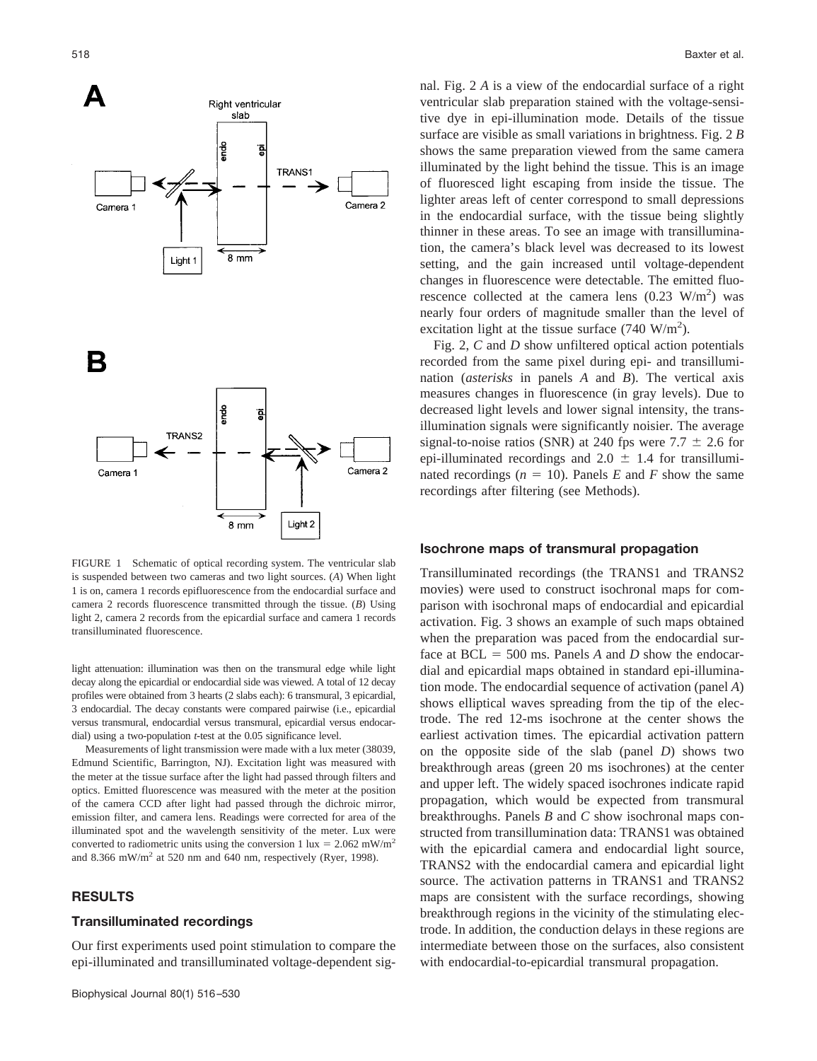

FIGURE 1 Schematic of optical recording system. The ventricular slab is suspended between two cameras and two light sources. (*A*) When light 1 is on, camera 1 records epifluorescence from the endocardial surface and camera 2 records fluorescence transmitted through the tissue. (*B*) Using light 2, camera 2 records from the epicardial surface and camera 1 records transilluminated fluorescence.

light attenuation: illumination was then on the transmural edge while light decay along the epicardial or endocardial side was viewed. A total of 12 decay profiles were obtained from 3 hearts (2 slabs each): 6 transmural, 3 epicardial, 3 endocardial. The decay constants were compared pairwise (i.e., epicardial versus transmural, endocardial versus transmural, epicardial versus endocardial) using a two-population *t*-test at the 0.05 significance level.

Measurements of light transmission were made with a lux meter (38039, Edmund Scientific, Barrington, NJ). Excitation light was measured with the meter at the tissue surface after the light had passed through filters and optics. Emitted fluorescence was measured with the meter at the position of the camera CCD after light had passed through the dichroic mirror, emission filter, and camera lens. Readings were corrected for area of the illuminated spot and the wavelength sensitivity of the meter. Lux were converted to radiometric units using the conversion 1 lux =  $2.062$  mW/m<sup>2</sup> and 8.366 mW/m2 at 520 nm and 640 nm, respectively (Ryer, 1998).

## **RESULTS**

#### **Transilluminated recordings**

Our first experiments used point stimulation to compare the epi-illuminated and transilluminated voltage-dependent signal. Fig. 2 *A* is a view of the endocardial surface of a right ventricular slab preparation stained with the voltage-sensitive dye in epi-illumination mode. Details of the tissue surface are visible as small variations in brightness. Fig. 2 *B* shows the same preparation viewed from the same camera illuminated by the light behind the tissue. This is an image of fluoresced light escaping from inside the tissue. The lighter areas left of center correspond to small depressions in the endocardial surface, with the tissue being slightly thinner in these areas. To see an image with transillumination, the camera's black level was decreased to its lowest setting, and the gain increased until voltage-dependent changes in fluorescence were detectable. The emitted fluorescence collected at the camera lens  $(0.23 \text{ W/m}^2)$  was nearly four orders of magnitude smaller than the level of excitation light at the tissue surface  $(740 \text{ W/m}^2)$ .

Fig. 2, *C* and *D* show unfiltered optical action potentials recorded from the same pixel during epi- and transillumination (*asterisks* in panels *A* and *B*). The vertical axis measures changes in fluorescence (in gray levels). Due to decreased light levels and lower signal intensity, the transillumination signals were significantly noisier. The average signal-to-noise ratios (SNR) at 240 fps were  $7.7 \pm 2.6$  for epi-illuminated recordings and  $2.0 \pm 1.4$  for transilluminated recordings  $(n = 10)$ . Panels *E* and *F* show the same recordings after filtering (see Methods).

#### **Isochrone maps of transmural propagation**

Transilluminated recordings (the TRANS1 and TRANS2 movies) were used to construct isochronal maps for comparison with isochronal maps of endocardial and epicardial activation. Fig. 3 shows an example of such maps obtained when the preparation was paced from the endocardial surface at  $BCL = 500$  ms. Panels *A* and *D* show the endocardial and epicardial maps obtained in standard epi-illumination mode. The endocardial sequence of activation (panel *A*) shows elliptical waves spreading from the tip of the electrode. The red 12-ms isochrone at the center shows the earliest activation times. The epicardial activation pattern on the opposite side of the slab (panel *D*) shows two breakthrough areas (green 20 ms isochrones) at the center and upper left. The widely spaced isochrones indicate rapid propagation, which would be expected from transmural breakthroughs. Panels *B* and *C* show isochronal maps constructed from transillumination data: TRANS1 was obtained with the epicardial camera and endocardial light source, TRANS2 with the endocardial camera and epicardial light source. The activation patterns in TRANS1 and TRANS2 maps are consistent with the surface recordings, showing breakthrough regions in the vicinity of the stimulating electrode. In addition, the conduction delays in these regions are intermediate between those on the surfaces, also consistent with endocardial-to-epicardial transmural propagation.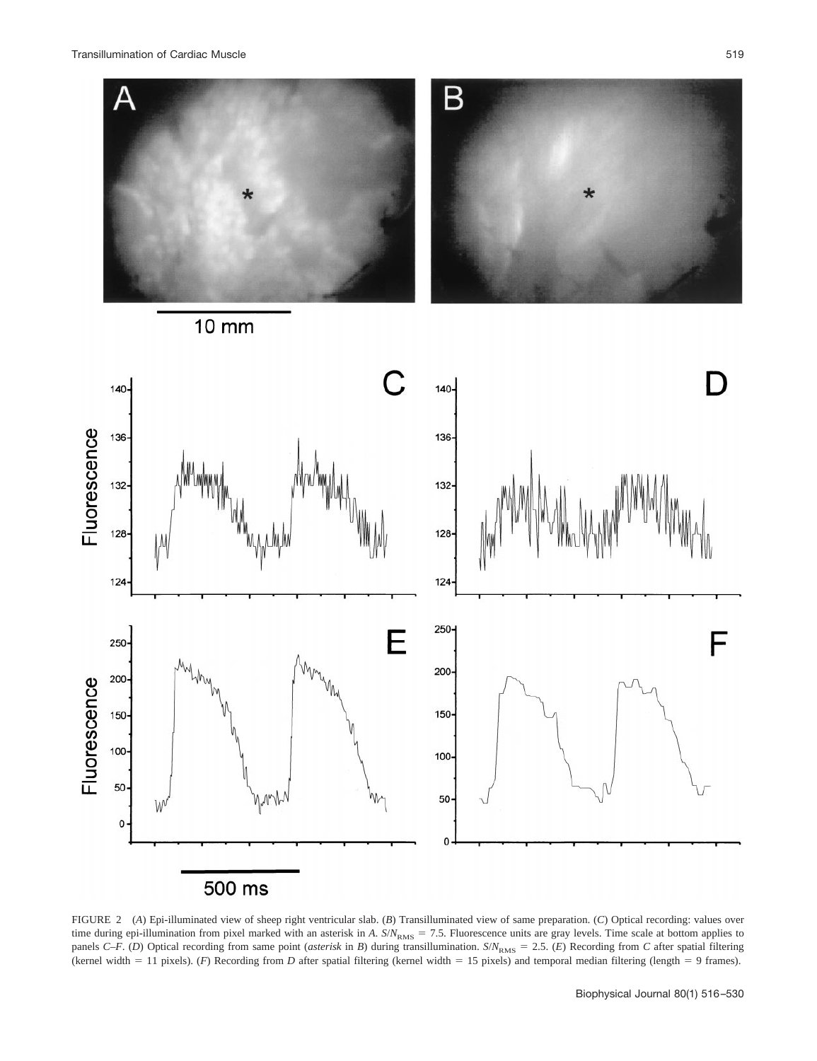

FIGURE 2 (*A*) Epi-illuminated view of sheep right ventricular slab. (*B*) Transilluminated view of same preparation. (*C*) Optical recording: values over time during epi-illumination from pixel marked with an asterisk in *A*.  $S/N_{\rm RMS} = 7.5$ . Fluorescence units are gray levels. Time scale at bottom applies to panels *C–F*. (*D*) Optical recording from same point (*asterisk* in *B*) during transillumination.  $S/N_{\text{RMS}} = 2.5$ . (*E*) Recording from *C* after spatial filtering (kernel width  $= 11$  pixels). (*F*) Recording from *D* after spatial filtering (kernel width  $= 15$  pixels) and temporal median filtering (length  $= 9$  frames).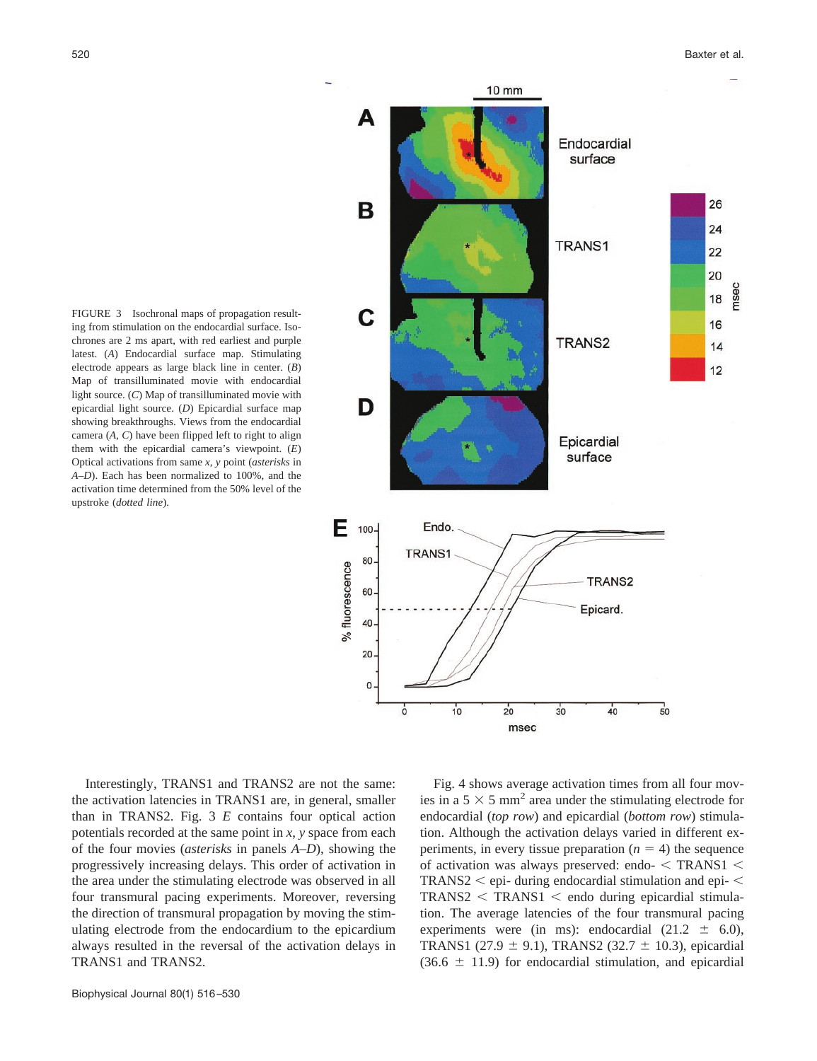

FIGURE 3 Isochronal maps of propagation resulting from stimulation on the endocardial surface. Isochrones are 2 ms apart, with red earliest and purple latest. (*A*) Endocardial surface map. Stimulating electrode appears as large black line in center. (*B*) Map of transilluminated movie with endocardial light source. (*C*) Map of transilluminated movie with epicardial light source. (*D*) Epicardial surface map showing breakthroughs. Views from the endocardial camera (*A*, *C*) have been flipped left to right to align them with the epicardial camera's viewpoint. (*E*) Optical activations from same *x*, *y* point (*asterisks* in *A*–*D*). Each has been normalized to 100%, and the activation time determined from the 50% level of the upstroke (*dotted line*).

Interestingly, TRANS1 and TRANS2 are not the same: the activation latencies in TRANS1 are, in general, smaller than in TRANS2. Fig. 3 *E* contains four optical action potentials recorded at the same point in *x*, *y* space from each of the four movies (*asterisks* in panels *A–D*), showing the progressively increasing delays. This order of activation in the area under the stimulating electrode was observed in all four transmural pacing experiments. Moreover, reversing the direction of transmural propagation by moving the stimulating electrode from the endocardium to the epicardium always resulted in the reversal of the activation delays in TRANS1 and TRANS2.

Fig. 4 shows average activation times from all four movies in a  $5 \times 5$  mm<sup>2</sup> area under the stimulating electrode for endocardial (*top row*) and epicardial (*bottom row*) stimulation. Although the activation delays varied in different experiments, in every tissue preparation  $(n = 4)$  the sequence of activation was always preserved: endo-  $<$  TRANS1  $<$  $TRANS2 < epi$ - during endocardial stimulation and epi- $\leq$  $TRANS2 < TRANS1 < end$  endo during epicardial stimulation. The average latencies of the four transmural pacing experiments were (in ms): endocardial  $(21.2 \pm 6.0)$ , TRANS1 (27.9  $\pm$  9.1), TRANS2 (32.7  $\pm$  10.3), epicardial  $(36.6 \pm 11.9)$  for endocardial stimulation, and epicardial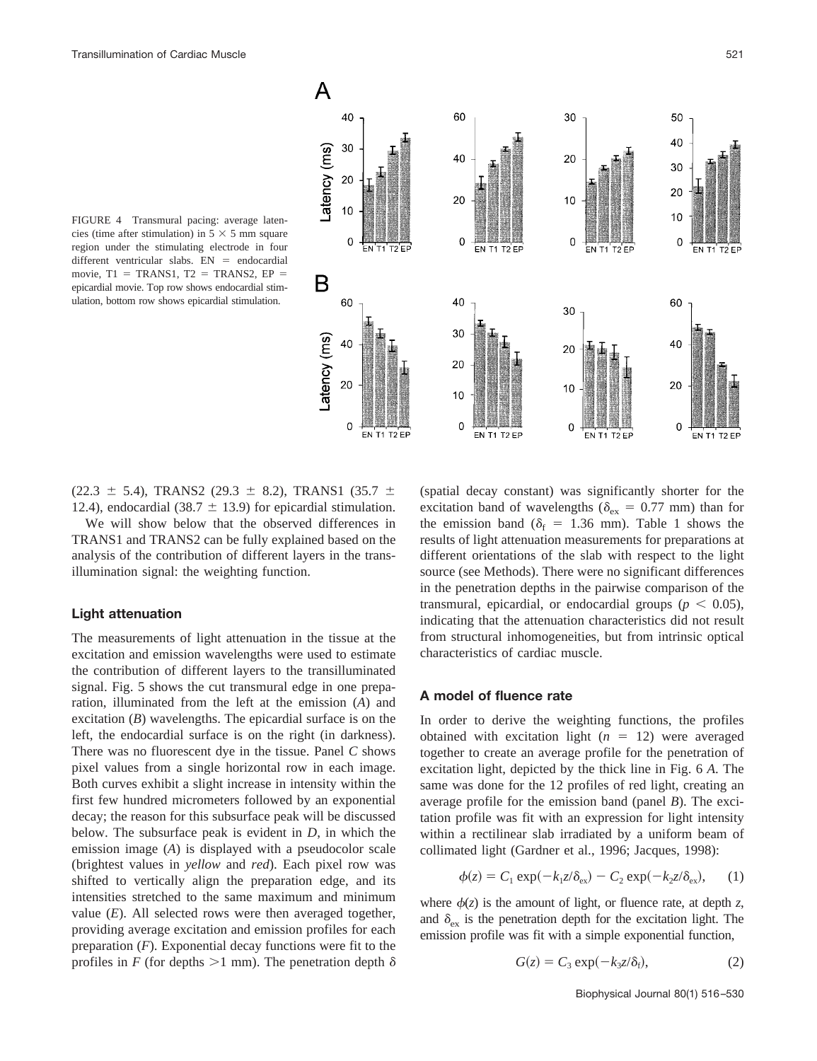

FIGURE 4 Transmural pacing: average latencies (time after stimulation) in  $5 \times 5$  mm square region under the stimulating electrode in four different ventricular slabs.  $EN = endocardial$ movie,  $T1 = TRANS1$ ,  $T2 = TRANS2$ ,  $EP =$ epicardial movie. Top row shows endocardial stimulation, bottom row shows epicardial stimulation.

(22.3  $\pm$  5.4), TRANS2 (29.3  $\pm$  8.2), TRANS1 (35.7  $\pm$ 12.4), endocardial (38.7  $\pm$  13.9) for epicardial stimulation.

We will show below that the observed differences in TRANS1 and TRANS2 can be fully explained based on the analysis of the contribution of different layers in the transillumination signal: the weighting function.

## **Light attenuation**

The measurements of light attenuation in the tissue at the excitation and emission wavelengths were used to estimate the contribution of different layers to the transilluminated signal. Fig. 5 shows the cut transmural edge in one preparation, illuminated from the left at the emission (*A*) and excitation (*B*) wavelengths. The epicardial surface is on the left, the endocardial surface is on the right (in darkness). There was no fluorescent dye in the tissue. Panel *C* shows pixel values from a single horizontal row in each image. Both curves exhibit a slight increase in intensity within the first few hundred micrometers followed by an exponential decay; the reason for this subsurface peak will be discussed below. The subsurface peak is evident in *D*, in which the emission image (*A*) is displayed with a pseudocolor scale (brightest values in *yellow* and *red*). Each pixel row was shifted to vertically align the preparation edge, and its intensities stretched to the same maximum and minimum value (*E*). All selected rows were then averaged together, providing average excitation and emission profiles for each preparation (*F*). Exponential decay functions were fit to the profiles in *F* (for depths  $>1$  mm). The penetration depth  $\delta$ 

(spatial decay constant) was significantly shorter for the excitation band of wavelengths ( $\delta_{\rm ex} = 0.77$  mm) than for the emission band ( $\delta_f = 1.36$  mm). Table 1 shows the results of light attenuation measurements for preparations at different orientations of the slab with respect to the light source (see Methods). There were no significant differences in the penetration depths in the pairwise comparison of the transmural, epicardial, or endocardial groups ( $p < 0.05$ ), indicating that the attenuation characteristics did not result from structural inhomogeneities, but from intrinsic optical characteristics of cardiac muscle.

# **A model of fluence rate**

In order to derive the weighting functions, the profiles obtained with excitation light  $(n = 12)$  were averaged together to create an average profile for the penetration of excitation light, depicted by the thick line in Fig. 6 *A*. The same was done for the 12 profiles of red light, creating an average profile for the emission band (panel *B*). The excitation profile was fit with an expression for light intensity within a rectilinear slab irradiated by a uniform beam of collimated light (Gardner et al., 1996; Jacques, 1998):

$$
\phi(z) = C_1 \exp(-k_1 z/\delta_{\rm ex}) - C_2 \exp(-k_2 z/\delta_{\rm ex}), \qquad (1)
$$

where  $\phi(z)$  is the amount of light, or fluence rate, at depth *z*, and  $\delta_{\text{ex}}$  is the penetration depth for the excitation light. The emission profile was fit with a simple exponential function,

$$
G(z) = C_3 \exp(-k_3 z/\delta_f), \qquad (2)
$$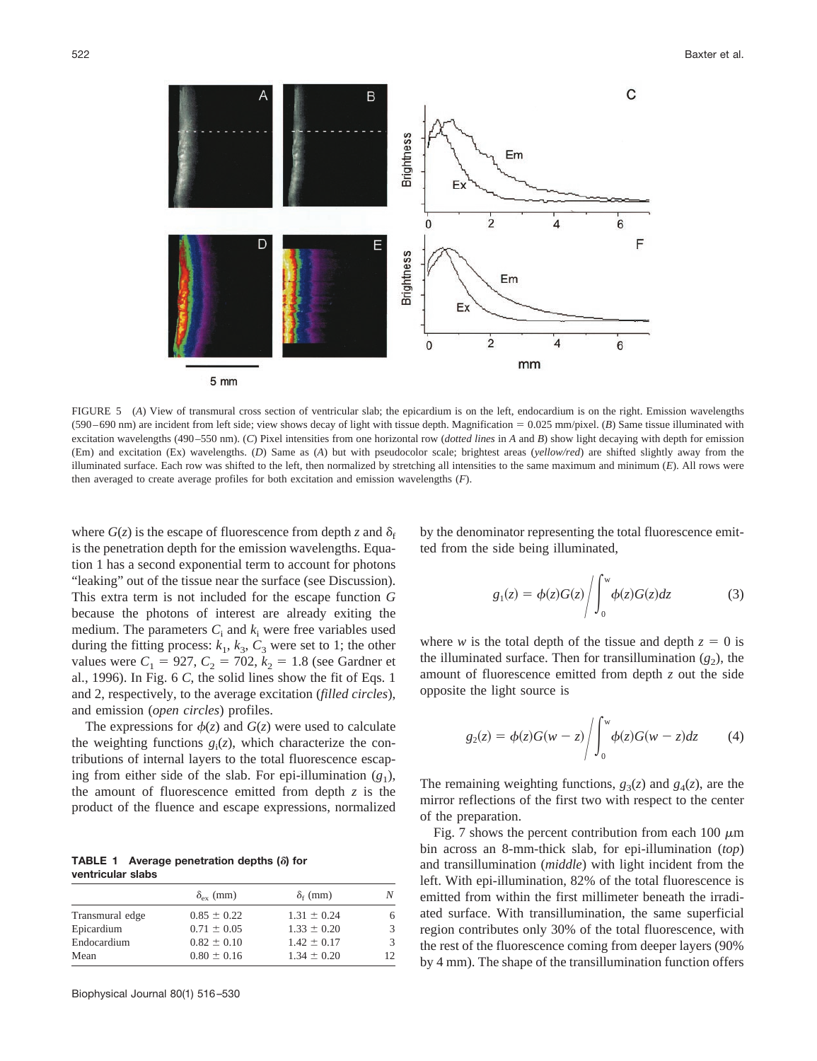

FIGURE 5 (*A*) View of transmural cross section of ventricular slab; the epicardium is on the left, endocardium is on the right. Emission wavelengths  $(590-690 \text{ nm})$  are incident from left side; view shows decay of light with tissue depth. Magnification =  $0.025 \text{ mm/pixel}$ . (*B*) Same tissue illuminated with excitation wavelengths (490–550 nm). (*C*) Pixel intensities from one horizontal row (*dotted lines* in *A* and *B*) show light decaying with depth for emission (Em) and excitation (Ex) wavelengths. (*D*) Same as (*A*) but with pseudocolor scale; brightest areas (*yellow/red*) are shifted slightly away from the illuminated surface. Each row was shifted to the left, then normalized by stretching all intensities to the same maximum and minimum (*E*). All rows were then averaged to create average profiles for both excitation and emission wavelengths (*F*).

where  $G(z)$  is the escape of fluorescence from depth *z* and  $\delta_f$ is the penetration depth for the emission wavelengths. Equation 1 has a second exponential term to account for photons "leaking" out of the tissue near the surface (see Discussion). This extra term is not included for the escape function *G* because the photons of interest are already exiting the medium. The parameters  $C_i$  and  $k_i$  were free variables used during the fitting process:  $k_1$ ,  $k_3$ ,  $C_3$  were set to 1; the other values were  $C_1 = 927$ ,  $C_2 = 702$ ,  $k_2 = 1.8$  (see Gardner et al., 1996). In Fig. 6 *C*, the solid lines show the fit of Eqs. 1 and 2, respectively, to the average excitation (*filled circles*), and emission (*open circles*) profiles.

The expressions for  $\phi(z)$  and  $G(z)$  were used to calculate the weighting functions  $g_i(z)$ , which characterize the contributions of internal layers to the total fluorescence escaping from either side of the slab. For epi-illumination  $(g_1)$ , the amount of fluorescence emitted from depth *z* is the product of the fluence and escape expressions, normalized

**TABLE 1** Average penetration depths (δ) for **ventricular slabs**

|                 | $\delta_{\rm ex}$ (mm) | $\delta_{\rm f}$ (mm) |               |
|-----------------|------------------------|-----------------------|---------------|
| Transmural edge | $0.85 \pm 0.22$        | $1.31 \pm 0.24$       | 6             |
| Epicardium      | $0.71 \pm 0.05$        | $1.33 \pm 0.20$       | 3             |
| Endocardium     | $0.82 \pm 0.10$        | $1.42 \pm 0.17$       | $\mathcal{R}$ |
| Mean            | $0.80 \pm 0.16$        | $1.34 \pm 0.20$       | $12^{\circ}$  |

by the denominator representing the total fluorescence emitted from the side being illuminated,

$$
g_1(z) = \phi(z)G(z) / \int_0^w \phi(z)G(z)dz \tag{3}
$$

where *w* is the total depth of the tissue and depth  $z = 0$  is the illuminated surface. Then for transillumination  $(g_2)$ , the amount of fluorescence emitted from depth *z* out the side opposite the light source is

$$
g_2(z) = \phi(z)G(w-z) / \int_0^w \phi(z)G(w-z)dz \qquad (4)
$$

The remaining weighting functions,  $g_3(z)$  and  $g_4(z)$ , are the mirror reflections of the first two with respect to the center of the preparation.

Fig. 7 shows the percent contribution from each 100  $\mu$ m bin across an 8-mm-thick slab, for epi-illumination (*top*) and transillumination (*middle*) with light incident from the left. With epi-illumination, 82% of the total fluorescence is emitted from within the first millimeter beneath the irradiated surface. With transillumination, the same superficial region contributes only 30% of the total fluorescence, with the rest of the fluorescence coming from deeper layers (90% by 4 mm). The shape of the transillumination function offers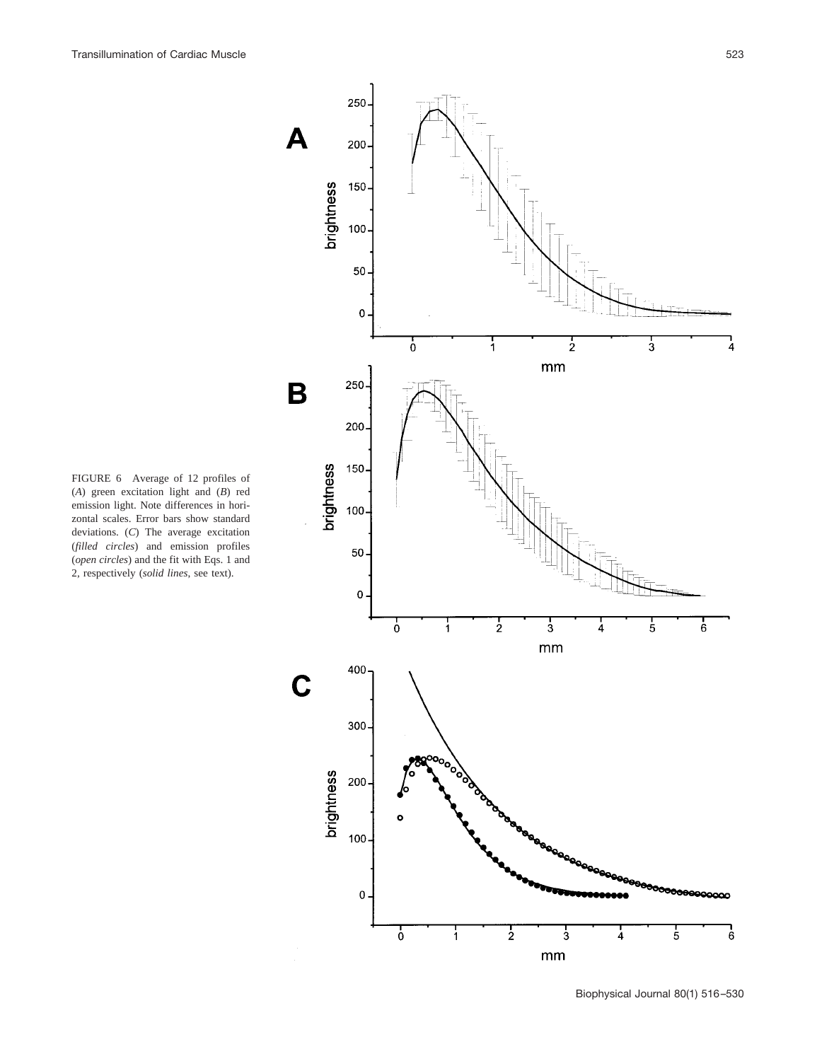FIGURE 6 Average of 12 profiles of (*A*) green excitation light and (*B*) red emission light. Note differences in horizontal scales. Error bars show standard deviations. (*C*) The average excitation (*filled circles*) and emission profiles (*open circles*) and the fit with Eqs. 1 and 2, respectively (*solid lines*, see text).

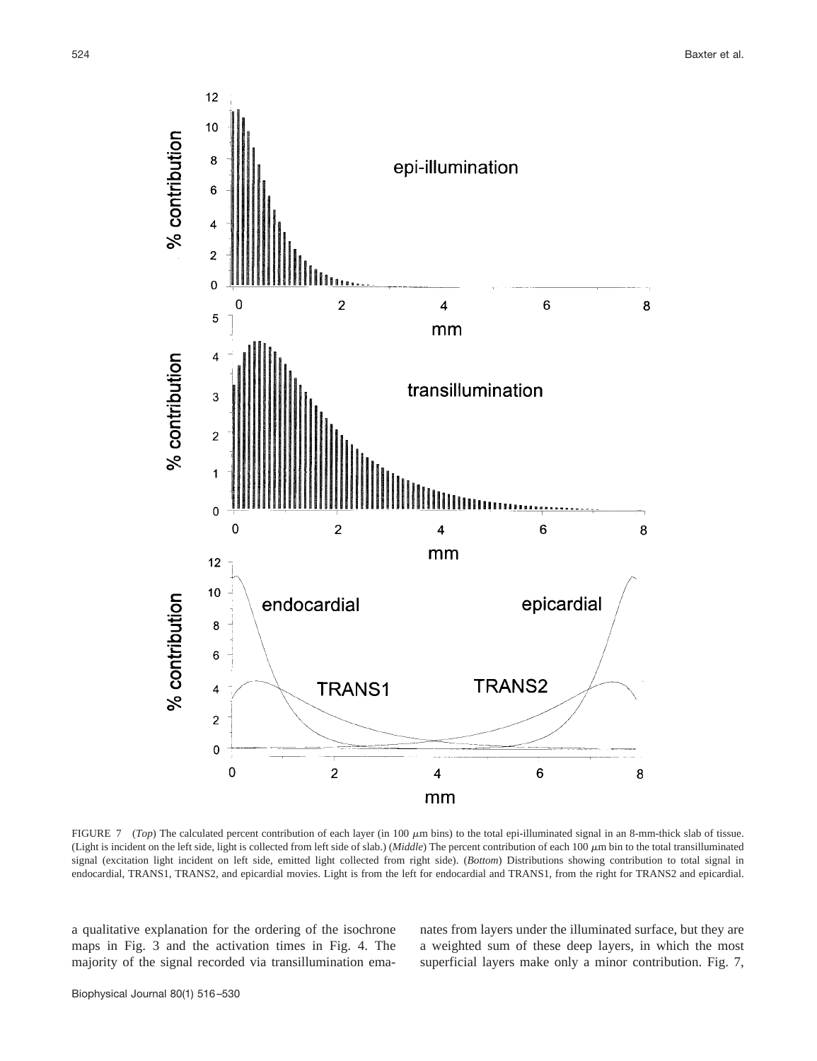

FIGURE 7 (*Top*) The calculated percent contribution of each layer (in 100  $\mu$ m bins) to the total epi-illuminated signal in an 8-mm-thick slab of tissue. (Light is incident on the left side, light is collected from left side of slab.) (*Middle*) The percent contribution of each 100  $\mu$ m bin to the total transilluminated signal (excitation light incident on left side, emitted light collected from right side). (*Bottom*) Distributions showing contribution to total signal in endocardial, TRANS1, TRANS2, and epicardial movies. Light is from the left for endocardial and TRANS1, from the right for TRANS2 and epicardial.

a qualitative explanation for the ordering of the isochrone maps in Fig. 3 and the activation times in Fig. 4. The majority of the signal recorded via transillumination emanates from layers under the illuminated surface, but they are a weighted sum of these deep layers, in which the most superficial layers make only a minor contribution. Fig. 7,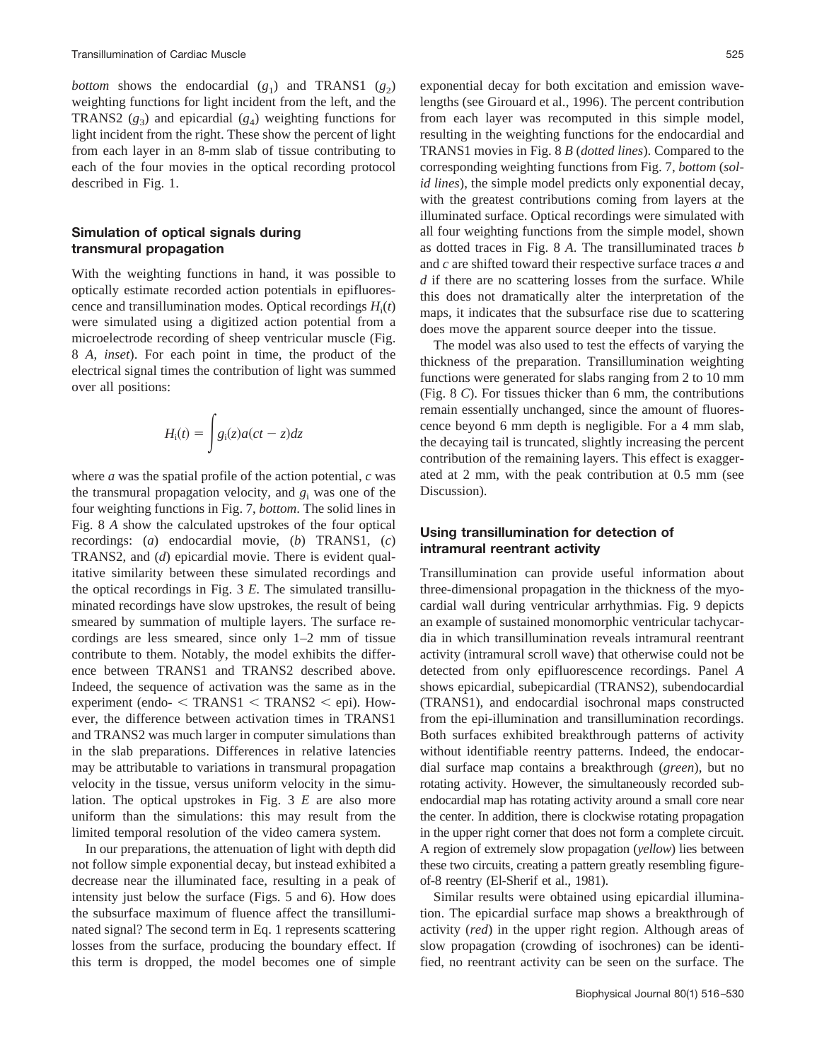*bottom* shows the endocardial  $(g_1)$  and TRANS1  $(g_2)$ weighting functions for light incident from the left, and the TRANS2  $(g_3)$  and epicardial  $(g_4)$  weighting functions for light incident from the right. These show the percent of light from each layer in an 8-mm slab of tissue contributing to each of the four movies in the optical recording protocol described in Fig. 1.

# **Simulation of optical signals during transmural propagation**

With the weighting functions in hand, it was possible to optically estimate recorded action potentials in epifluorescence and transillumination modes. Optical recordings *H*<sup>i</sup> (*t*) were simulated using a digitized action potential from a microelectrode recording of sheep ventricular muscle (Fig. 8 *A*, *inset*). For each point in time, the product of the electrical signal times the contribution of light was summed over all positions:

$$
H_i(t) = \int g_i(z)a(ct - z)dz
$$

where *a* was the spatial profile of the action potential, *c* was the transmural propagation velocity, and *g*<sup>i</sup> was one of the four weighting functions in Fig. 7, *bottom*. The solid lines in Fig. 8 *A* show the calculated upstrokes of the four optical recordings: (*a*) endocardial movie, (*b*) TRANS1, (*c*) TRANS2, and (*d*) epicardial movie. There is evident qualitative similarity between these simulated recordings and the optical recordings in Fig. 3 *E*. The simulated transilluminated recordings have slow upstrokes, the result of being smeared by summation of multiple layers. The surface recordings are less smeared, since only 1–2 mm of tissue contribute to them. Notably, the model exhibits the difference between TRANS1 and TRANS2 described above. Indeed, the sequence of activation was the same as in the experiment (endo-  $\langle$  TRANS1  $\langle$  TRANS2  $\langle$  epi). However, the difference between activation times in TRANS1 and TRANS2 was much larger in computer simulations than in the slab preparations. Differences in relative latencies may be attributable to variations in transmural propagation velocity in the tissue, versus uniform velocity in the simulation. The optical upstrokes in Fig. 3 *E* are also more uniform than the simulations: this may result from the limited temporal resolution of the video camera system.

In our preparations, the attenuation of light with depth did not follow simple exponential decay, but instead exhibited a decrease near the illuminated face, resulting in a peak of intensity just below the surface (Figs. 5 and 6). How does the subsurface maximum of fluence affect the transilluminated signal? The second term in Eq. 1 represents scattering losses from the surface, producing the boundary effect. If this term is dropped, the model becomes one of simple

exponential decay for both excitation and emission wavelengths (see Girouard et al., 1996). The percent contribution from each layer was recomputed in this simple model, resulting in the weighting functions for the endocardial and TRANS1 movies in Fig. 8 *B* (*dotted lines*). Compared to the corresponding weighting functions from Fig. 7, *bottom* (*solid lines*), the simple model predicts only exponential decay, with the greatest contributions coming from layers at the illuminated surface. Optical recordings were simulated with all four weighting functions from the simple model, shown as dotted traces in Fig. 8 *A*. The transilluminated traces *b* and *c* are shifted toward their respective surface traces *a* and *d* if there are no scattering losses from the surface. While this does not dramatically alter the interpretation of the maps, it indicates that the subsurface rise due to scattering does move the apparent source deeper into the tissue.

The model was also used to test the effects of varying the thickness of the preparation. Transillumination weighting functions were generated for slabs ranging from 2 to 10 mm (Fig. 8 *C*). For tissues thicker than 6 mm, the contributions remain essentially unchanged, since the amount of fluorescence beyond 6 mm depth is negligible. For a 4 mm slab, the decaying tail is truncated, slightly increasing the percent contribution of the remaining layers. This effect is exaggerated at 2 mm, with the peak contribution at 0.5 mm (see Discussion).

# **Using transillumination for detection of intramural reentrant activity**

Transillumination can provide useful information about three-dimensional propagation in the thickness of the myocardial wall during ventricular arrhythmias. Fig. 9 depicts an example of sustained monomorphic ventricular tachycardia in which transillumination reveals intramural reentrant activity (intramural scroll wave) that otherwise could not be detected from only epifluorescence recordings. Panel *A* shows epicardial, subepicardial (TRANS2), subendocardial (TRANS1), and endocardial isochronal maps constructed from the epi-illumination and transillumination recordings. Both surfaces exhibited breakthrough patterns of activity without identifiable reentry patterns. Indeed, the endocardial surface map contains a breakthrough (*green*), but no rotating activity. However, the simultaneously recorded subendocardial map has rotating activity around a small core near the center. In addition, there is clockwise rotating propagation in the upper right corner that does not form a complete circuit. A region of extremely slow propagation (*yellow*) lies between these two circuits, creating a pattern greatly resembling figureof-8 reentry (El-Sherif et al., 1981).

Similar results were obtained using epicardial illumination. The epicardial surface map shows a breakthrough of activity (*red*) in the upper right region. Although areas of slow propagation (crowding of isochrones) can be identified, no reentrant activity can be seen on the surface. The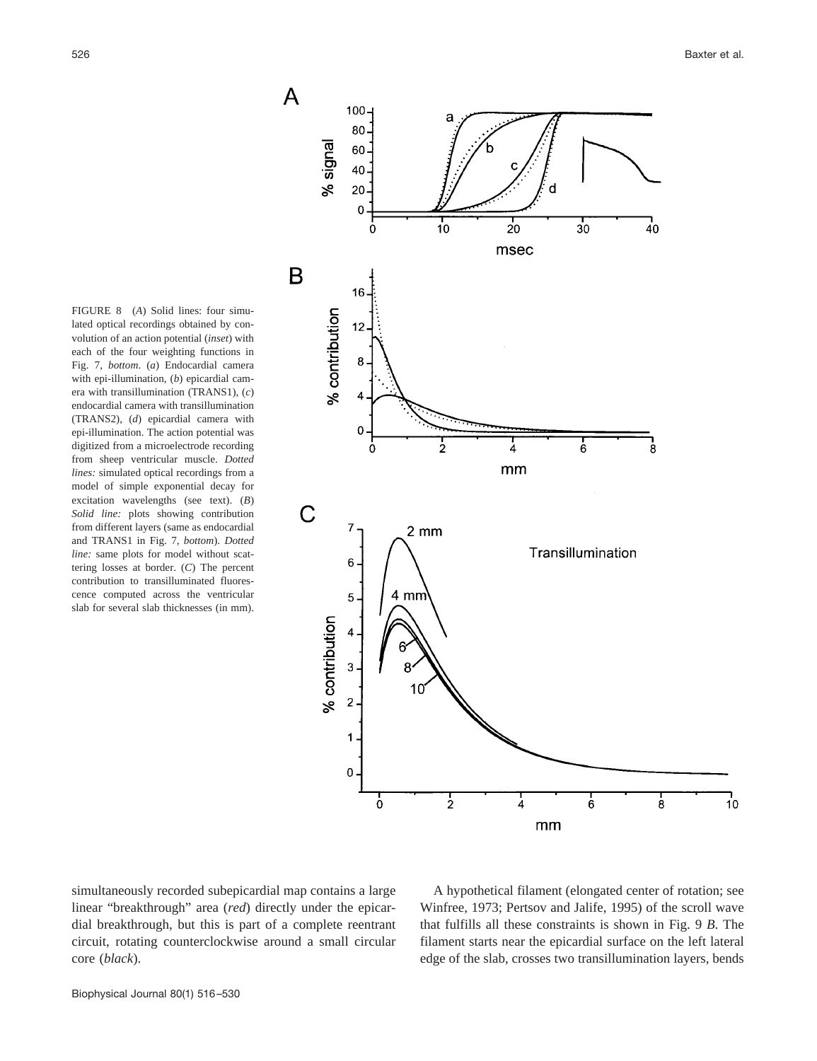FIGURE 8 (*A*) Solid lines: four simulated optical recordings obtained by convolution of an action potential (*inset*) with each of the four weighting functions in Fig. 7, *bottom*. (*a*) Endocardial camera with epi-illumination, (*b*) epicardial camera with transillumination (TRANS1), (*c*) endocardial camera with transillumination (TRANS2), (*d*) epicardial camera with epi-illumination. The action potential was digitized from a microelectrode recording from sheep ventricular muscle. *Dotted lines:* simulated optical recordings from a model of simple exponential decay for excitation wavelengths (see text). (*B*) *Solid line:* plots showing contribution from different layers (same as endocardial and TRANS1 in Fig. 7, *bottom*). *Dotted line:* same plots for model without scattering losses at border. (*C*) The percent contribution to transilluminated fluorescence computed across the ventricular slab for several slab thicknesses (in mm).



simultaneously recorded subepicardial map contains a large linear "breakthrough" area (*red*) directly under the epicardial breakthrough, but this is part of a complete reentrant circuit, rotating counterclockwise around a small circular core (*black*).

A hypothetical filament (elongated center of rotation; see Winfree, 1973; Pertsov and Jalife, 1995) of the scroll wave that fulfills all these constraints is shown in Fig. 9 *B*. The filament starts near the epicardial surface on the left lateral edge of the slab, crosses two transillumination layers, bends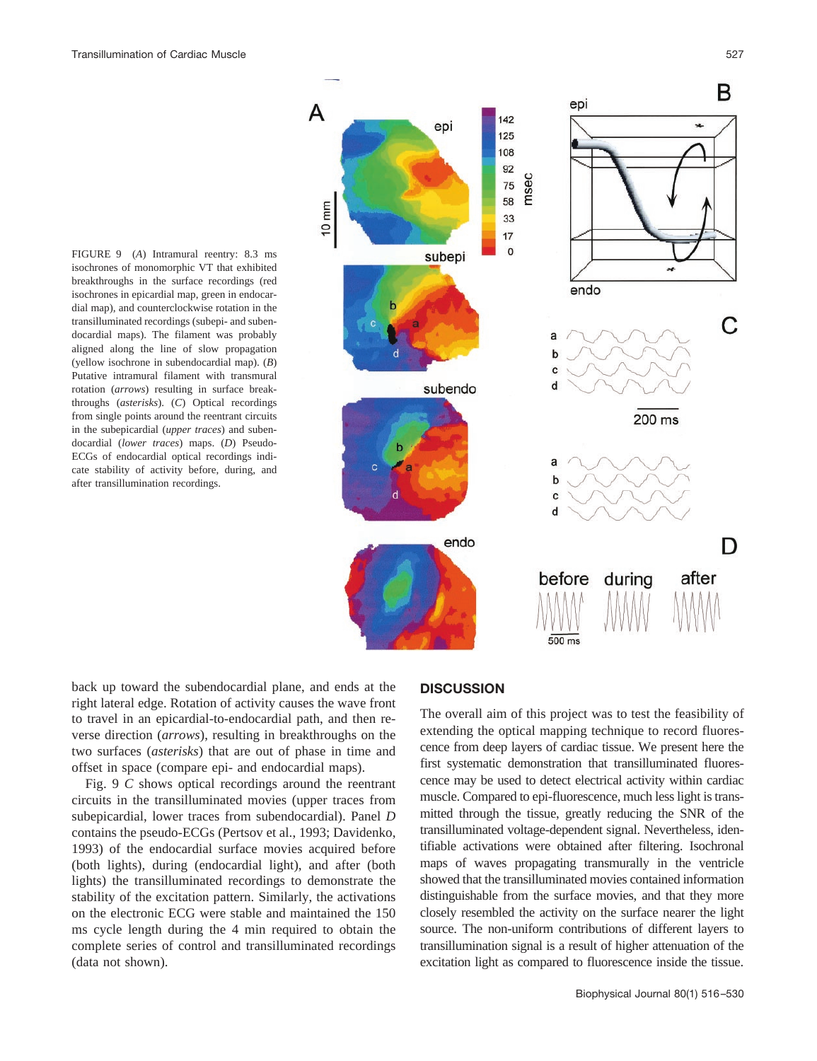FIGURE 9 (*A*) Intramural reentry: 8.3 ms isochrones of monomorphic VT that exhibited breakthroughs in the surface recordings (red isochrones in epicardial map, green in endocardial map), and counterclockwise rotation in the transilluminated recordings (subepi- and subendocardial maps). The filament was probably aligned along the line of slow propagation (yellow isochrone in subendocardial map). (*B*) Putative intramural filament with transmural rotation (*arrows*) resulting in surface breakthroughs (*asterisks*). (*C*) Optical recordings from single points around the reentrant circuits in the subepicardial (*upper traces*) and subendocardial (*lower traces*) maps. (*D*) Pseudo-ECGs of endocardial optical recordings indicate stability of activity before, during, and after transillumination recordings.



back up toward the subendocardial plane, and ends at the right lateral edge. Rotation of activity causes the wave front to travel in an epicardial-to-endocardial path, and then reverse direction (*arrows*), resulting in breakthroughs on the two surfaces (*asterisks*) that are out of phase in time and offset in space (compare epi- and endocardial maps).

Fig. 9 *C* shows optical recordings around the reentrant circuits in the transilluminated movies (upper traces from subepicardial, lower traces from subendocardial). Panel *D* contains the pseudo-ECGs (Pertsov et al., 1993; Davidenko, 1993) of the endocardial surface movies acquired before (both lights), during (endocardial light), and after (both lights) the transilluminated recordings to demonstrate the stability of the excitation pattern. Similarly, the activations on the electronic ECG were stable and maintained the 150 ms cycle length during the 4 min required to obtain the complete series of control and transilluminated recordings (data not shown).

# **DISCUSSION**

The overall aim of this project was to test the feasibility of extending the optical mapping technique to record fluorescence from deep layers of cardiac tissue. We present here the first systematic demonstration that transilluminated fluorescence may be used to detect electrical activity within cardiac muscle. Compared to epi-fluorescence, much less light is transmitted through the tissue, greatly reducing the SNR of the transilluminated voltage-dependent signal. Nevertheless, identifiable activations were obtained after filtering. Isochronal maps of waves propagating transmurally in the ventricle showed that the transilluminated movies contained information distinguishable from the surface movies, and that they more closely resembled the activity on the surface nearer the light source. The non-uniform contributions of different layers to transillumination signal is a result of higher attenuation of the excitation light as compared to fluorescence inside the tissue.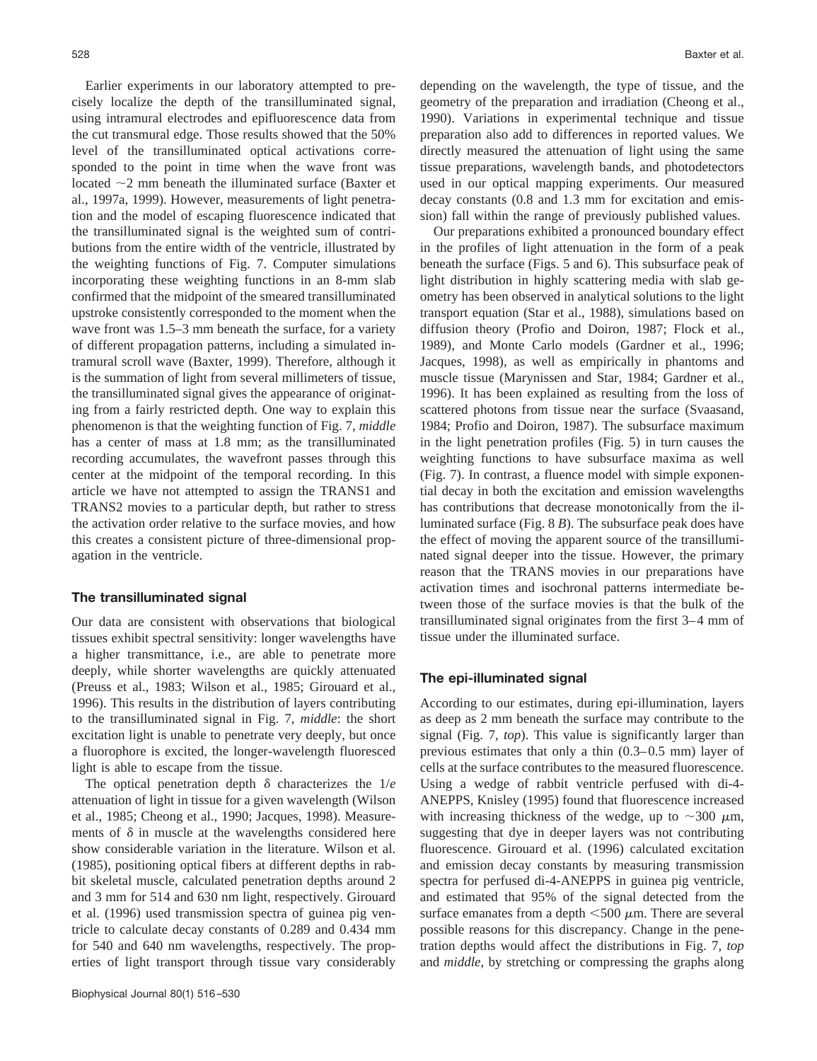Earlier experiments in our laboratory attempted to precisely localize the depth of the transilluminated signal, using intramural electrodes and epifluorescence data from the cut transmural edge. Those results showed that the 50% level of the transilluminated optical activations corresponded to the point in time when the wave front was located  $\sim$ 2 mm beneath the illuminated surface (Baxter et al., 1997a, 1999). However, measurements of light penetration and the model of escaping fluorescence indicated that the transilluminated signal is the weighted sum of contributions from the entire width of the ventricle, illustrated by the weighting functions of Fig. 7. Computer simulations incorporating these weighting functions in an 8-mm slab confirmed that the midpoint of the smeared transilluminated upstroke consistently corresponded to the moment when the wave front was 1.5–3 mm beneath the surface, for a variety of different propagation patterns, including a simulated intramural scroll wave (Baxter, 1999). Therefore, although it is the summation of light from several millimeters of tissue, the transilluminated signal gives the appearance of originating from a fairly restricted depth. One way to explain this phenomenon is that the weighting function of Fig. 7, *middle* has a center of mass at 1.8 mm; as the transilluminated recording accumulates, the wavefront passes through this center at the midpoint of the temporal recording. In this article we have not attempted to assign the TRANS1 and TRANS2 movies to a particular depth, but rather to stress the activation order relative to the surface movies, and how this creates a consistent picture of three-dimensional propagation in the ventricle.

#### **The transilluminated signal**

Our data are consistent with observations that biological tissues exhibit spectral sensitivity: longer wavelengths have a higher transmittance, i.e., are able to penetrate more deeply, while shorter wavelengths are quickly attenuated (Preuss et al., 1983; Wilson et al., 1985; Girouard et al., 1996). This results in the distribution of layers contributing to the transilluminated signal in Fig. 7, *middle*: the short excitation light is unable to penetrate very deeply, but once a fluorophore is excited, the longer-wavelength fluoresced light is able to escape from the tissue.

The optical penetration depth  $\delta$  characterizes the  $1/e$ attenuation of light in tissue for a given wavelength (Wilson et al., 1985; Cheong et al., 1990; Jacques, 1998). Measurements of  $\delta$  in muscle at the wavelengths considered here show considerable variation in the literature. Wilson et al. (1985), positioning optical fibers at different depths in rabbit skeletal muscle, calculated penetration depths around 2 and 3 mm for 514 and 630 nm light, respectively. Girouard et al. (1996) used transmission spectra of guinea pig ventricle to calculate decay constants of 0.289 and 0.434 mm for 540 and 640 nm wavelengths, respectively. The properties of light transport through tissue vary considerably

depending on the wavelength, the type of tissue, and the geometry of the preparation and irradiation (Cheong et al., 1990). Variations in experimental technique and tissue preparation also add to differences in reported values. We directly measured the attenuation of light using the same tissue preparations, wavelength bands, and photodetectors used in our optical mapping experiments. Our measured decay constants (0.8 and 1.3 mm for excitation and emission) fall within the range of previously published values.

Our preparations exhibited a pronounced boundary effect in the profiles of light attenuation in the form of a peak beneath the surface (Figs. 5 and 6). This subsurface peak of light distribution in highly scattering media with slab geometry has been observed in analytical solutions to the light transport equation (Star et al., 1988), simulations based on diffusion theory (Profio and Doiron, 1987; Flock et al., 1989), and Monte Carlo models (Gardner et al., 1996; Jacques, 1998), as well as empirically in phantoms and muscle tissue (Marynissen and Star, 1984; Gardner et al., 1996). It has been explained as resulting from the loss of scattered photons from tissue near the surface (Svaasand, 1984; Profio and Doiron, 1987). The subsurface maximum in the light penetration profiles (Fig. 5) in turn causes the weighting functions to have subsurface maxima as well (Fig. 7). In contrast, a fluence model with simple exponential decay in both the excitation and emission wavelengths has contributions that decrease monotonically from the illuminated surface (Fig. 8 *B*). The subsurface peak does have the effect of moving the apparent source of the transilluminated signal deeper into the tissue. However, the primary reason that the TRANS movies in our preparations have activation times and isochronal patterns intermediate between those of the surface movies is that the bulk of the transilluminated signal originates from the first 3–4 mm of tissue under the illuminated surface.

#### **The epi-illuminated signal**

According to our estimates, during epi-illumination, layers as deep as 2 mm beneath the surface may contribute to the signal (Fig. 7, *top*). This value is significantly larger than previous estimates that only a thin (0.3–0.5 mm) layer of cells at the surface contributes to the measured fluorescence. Using a wedge of rabbit ventricle perfused with di-4- ANEPPS, Knisley (1995) found that fluorescence increased with increasing thickness of the wedge, up to  $\sim$ 300  $\mu$ m, suggesting that dye in deeper layers was not contributing fluorescence. Girouard et al. (1996) calculated excitation and emission decay constants by measuring transmission spectra for perfused di-4-ANEPPS in guinea pig ventricle, and estimated that 95% of the signal detected from the surface emanates from a depth  $<$  500  $\mu$ m. There are several possible reasons for this discrepancy. Change in the penetration depths would affect the distributions in Fig. 7, *top* and *middle*, by stretching or compressing the graphs along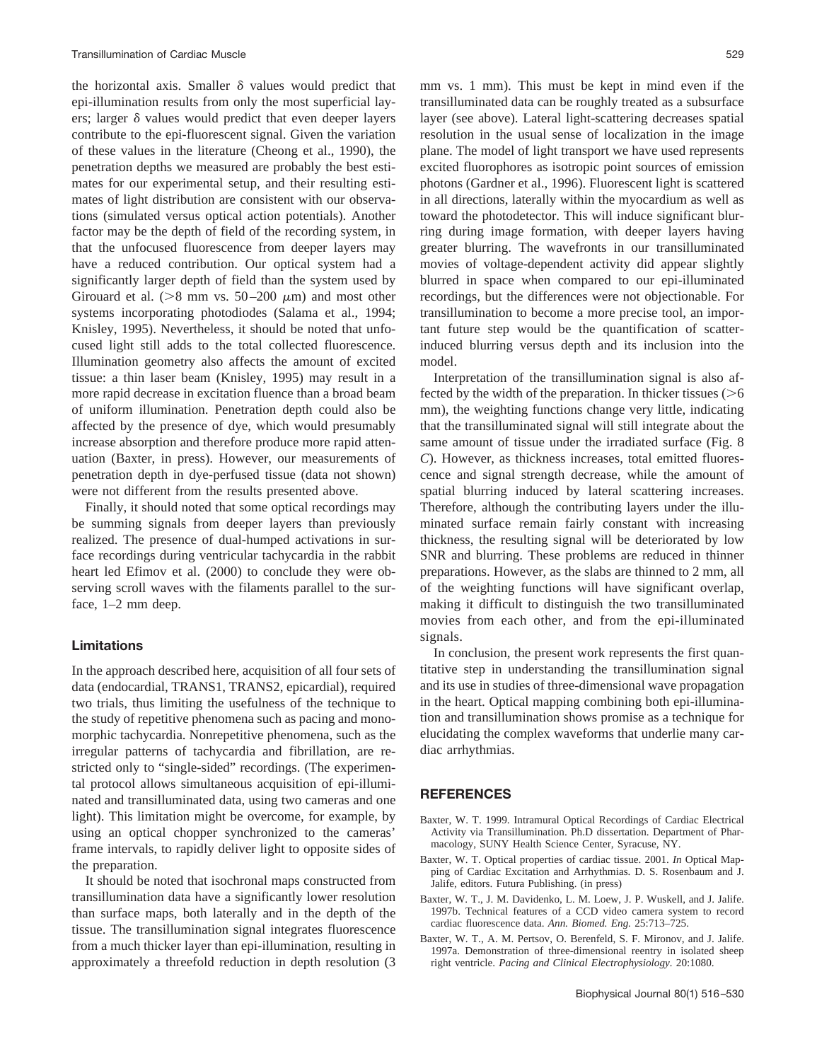the horizontal axis. Smaller  $\delta$  values would predict that epi-illumination results from only the most superficial layers; larger  $\delta$  values would predict that even deeper layers contribute to the epi-fluorescent signal. Given the variation of these values in the literature (Cheong et al., 1990), the penetration depths we measured are probably the best estimates for our experimental setup, and their resulting estimates of light distribution are consistent with our observations (simulated versus optical action potentials). Another factor may be the depth of field of the recording system, in that the unfocused fluorescence from deeper layers may have a reduced contribution. Our optical system had a significantly larger depth of field than the system used by Girouard et al. ( $>8$  mm vs. 50–200  $\mu$ m) and most other systems incorporating photodiodes (Salama et al., 1994; Knisley, 1995). Nevertheless, it should be noted that unfocused light still adds to the total collected fluorescence. Illumination geometry also affects the amount of excited tissue: a thin laser beam (Knisley, 1995) may result in a more rapid decrease in excitation fluence than a broad beam of uniform illumination. Penetration depth could also be affected by the presence of dye, which would presumably increase absorption and therefore produce more rapid attenuation (Baxter, in press). However, our measurements of penetration depth in dye-perfused tissue (data not shown) were not different from the results presented above.

Finally, it should noted that some optical recordings may be summing signals from deeper layers than previously realized. The presence of dual-humped activations in surface recordings during ventricular tachycardia in the rabbit heart led Efimov et al. (2000) to conclude they were observing scroll waves with the filaments parallel to the surface, 1–2 mm deep.

## **Limitations**

In the approach described here, acquisition of all four sets of data (endocardial, TRANS1, TRANS2, epicardial), required two trials, thus limiting the usefulness of the technique to the study of repetitive phenomena such as pacing and monomorphic tachycardia. Nonrepetitive phenomena, such as the irregular patterns of tachycardia and fibrillation, are restricted only to "single-sided" recordings. (The experimental protocol allows simultaneous acquisition of epi-illuminated and transilluminated data, using two cameras and one light). This limitation might be overcome, for example, by using an optical chopper synchronized to the cameras' frame intervals, to rapidly deliver light to opposite sides of the preparation.

It should be noted that isochronal maps constructed from transillumination data have a significantly lower resolution than surface maps, both laterally and in the depth of the tissue. The transillumination signal integrates fluorescence from a much thicker layer than epi-illumination, resulting in approximately a threefold reduction in depth resolution (3

mm vs. 1 mm). This must be kept in mind even if the transilluminated data can be roughly treated as a subsurface layer (see above). Lateral light-scattering decreases spatial resolution in the usual sense of localization in the image plane. The model of light transport we have used represents excited fluorophores as isotropic point sources of emission photons (Gardner et al., 1996). Fluorescent light is scattered in all directions, laterally within the myocardium as well as toward the photodetector. This will induce significant blurring during image formation, with deeper layers having greater blurring. The wavefronts in our transilluminated movies of voltage-dependent activity did appear slightly blurred in space when compared to our epi-illuminated recordings, but the differences were not objectionable. For transillumination to become a more precise tool, an important future step would be the quantification of scatterinduced blurring versus depth and its inclusion into the model.

Interpretation of the transillumination signal is also affected by the width of the preparation. In thicker tissues  $($ >6 mm), the weighting functions change very little, indicating that the transilluminated signal will still integrate about the same amount of tissue under the irradiated surface (Fig. 8 *C*). However, as thickness increases, total emitted fluorescence and signal strength decrease, while the amount of spatial blurring induced by lateral scattering increases. Therefore, although the contributing layers under the illuminated surface remain fairly constant with increasing thickness, the resulting signal will be deteriorated by low SNR and blurring. These problems are reduced in thinner preparations. However, as the slabs are thinned to 2 mm, all of the weighting functions will have significant overlap, making it difficult to distinguish the two transilluminated movies from each other, and from the epi-illuminated signals.

In conclusion, the present work represents the first quantitative step in understanding the transillumination signal and its use in studies of three-dimensional wave propagation in the heart. Optical mapping combining both epi-illumination and transillumination shows promise as a technique for elucidating the complex waveforms that underlie many cardiac arrhythmias.

### **REFERENCES**

- Baxter, W. T. 1999. Intramural Optical Recordings of Cardiac Electrical Activity via Transillumination. Ph.D dissertation. Department of Pharmacology, SUNY Health Science Center, Syracuse, NY.
- Baxter, W. T. Optical properties of cardiac tissue. 2001. *In* Optical Mapping of Cardiac Excitation and Arrhythmias. D. S. Rosenbaum and J. Jalife, editors. Futura Publishing. (in press)
- Baxter, W. T., J. M. Davidenko, L. M. Loew, J. P. Wuskell, and J. Jalife. 1997b. Technical features of a CCD video camera system to record cardiac fluorescence data. *Ann. Biomed. Eng.* 25:713–725.
- Baxter, W. T., A. M. Pertsov, O. Berenfeld, S. F. Mironov, and J. Jalife. 1997a. Demonstration of three-dimensional reentry in isolated sheep right ventricle. *Pacing and Clinical Electrophysiology.* 20:1080.